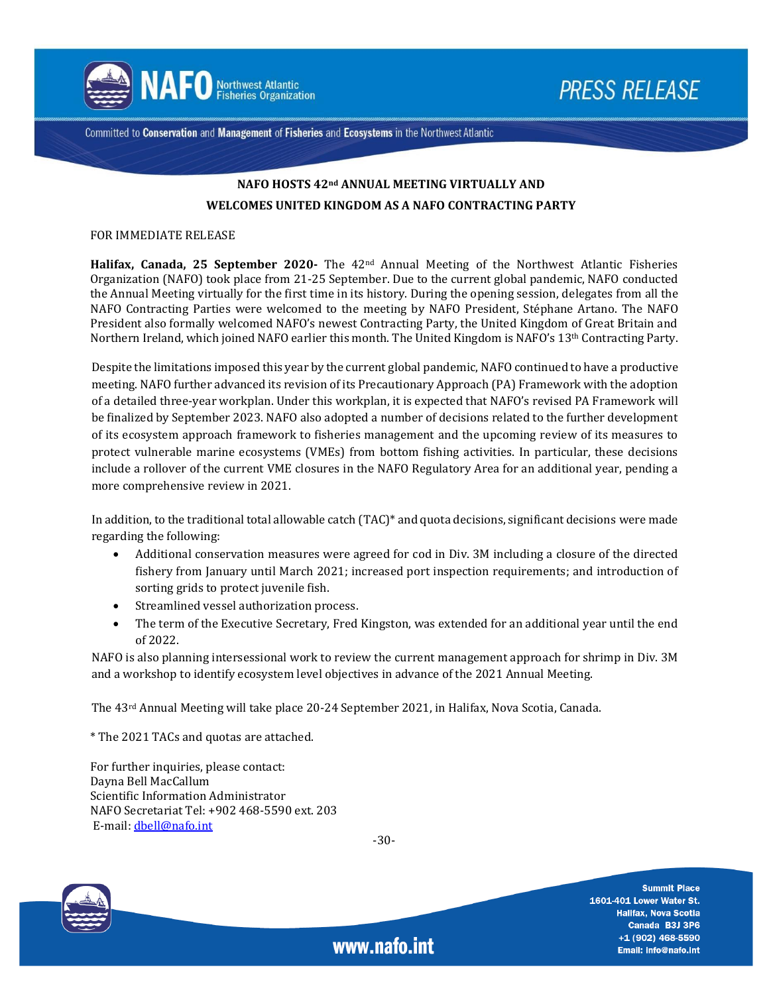

**PRESS RELEASE** 

Committed to Conservation and Management of Fisheries and Ecosystems in the Northwest Atlantic

# **NAFO HOSTS 42nd ANNUAL MEETING VIRTUALLY AND WELCOMES UNITED KINGDOM AS A NAFO CONTRACTING PARTY**

#### FOR IMMEDIATE RELEASE

**Halifax, Canada, 25 September 2020-** The 42nd Annual Meeting of the Northwest Atlantic Fisheries Organization (NAFO) took place from 21-25 September. Due to the current global pandemic, NAFO conducted the Annual Meeting virtually for the first time in its history. During the opening session, delegates from all the NAFO Contracting Parties were welcomed to the meeting by NAFO President, Stéphane Artano. The NAFO President also formally welcomed NAFO's newest Contracting Party, the United Kingdom of Great Britain and Northern Ireland, which joined NAFO earlier this month. The United Kingdom is NAFO's 13th Contracting Party.

Despite the limitations imposed this year by the current global pandemic, NAFO continued to have a productive meeting. NAFO further advanced its revision of its Precautionary Approach (PA) Framework with the adoption of a detailed three-year workplan. Under this workplan, it is expected that NAFO's revised PA Framework will be finalized by September 2023. NAFO also adopted a number of decisions related to the further development of its ecosystem approach framework to fisheries management and the upcoming review of its measures to protect vulnerable marine ecosystems (VMEs) from bottom fishing activities. In particular, these decisions include a rollover of the current VME closures in the NAFO Regulatory Area for an additional year, pending a more comprehensive review in 2021.

In addition, to the traditional total allowable catch (TAC)\* and quota decisions, significant decisions were made regarding the following:

- Additional conservation measures were agreed for cod in Div. 3M including a closure of the directed fishery from January until March 2021; increased port inspection requirements; and introduction of sorting grids to protect juvenile fish.
- Streamlined vessel authorization process.
- The term of the Executive Secretary, Fred Kingston, was extended for an additional year until the end of 2022.

NAFO is also planning intersessional work to review the current management approach for shrimp in Div. 3M and a workshop to identify ecosystem level objectives in advance of the 2021 Annual Meeting.

The 43rd Annual Meeting will take place 20-24 September 2021, in Halifax, Nova Scotia, Canada.

\* The 2021 TACs and quotas are attached.

For further inquiries, please contact: Dayna Bell MacCallum Scientific Information Administrator NAFO Secretariat Tel: +902 468-5590 ext. 203 E-mail: [dbell@nafo.int](mailto:dbell@nafo.int)

-30-

www.nafo.int



**Summit Place** 1601-401 Lower Water St. **Halifax, Nova Scotia** Canada B3J 3P6 +1 (902) 468-5590 Email: info@nafo.int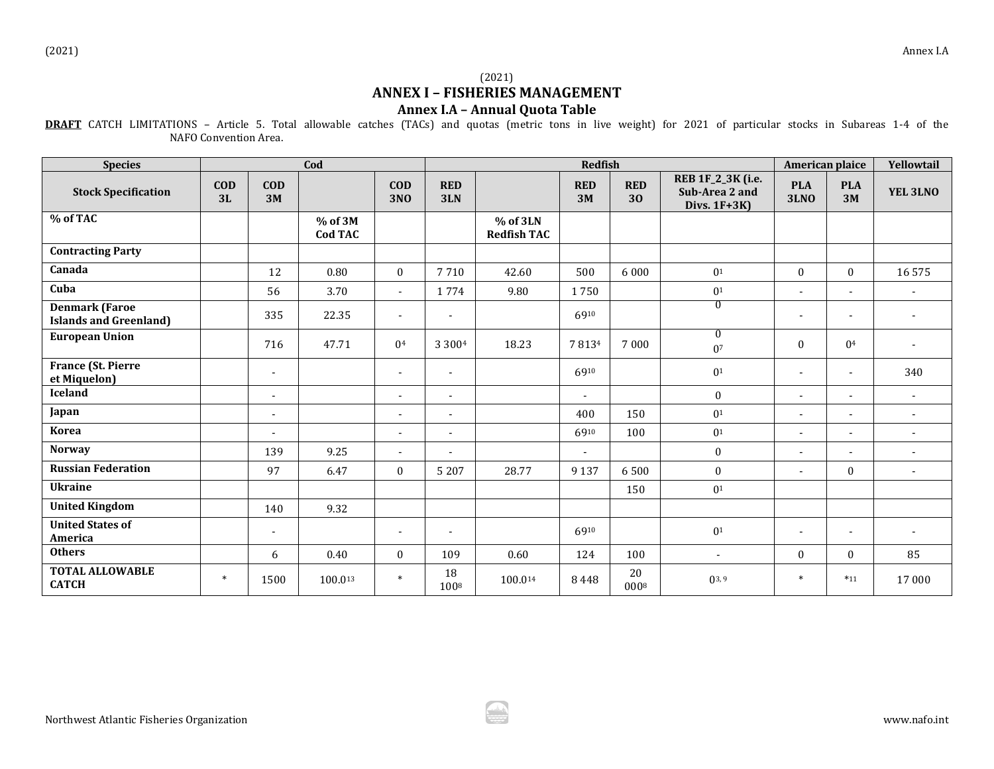## (2021) **ANNEX I – FISHERIES MANAGEMENT Annex I.A – Annual Quota Table**

**DRAFT** CATCH LIMITATIONS – Article 5. Total allowable catches (TACs) and quotas (metric tons in live weight) for 2021 of particular stocks in Subareas 1-4 of the NAFO Convention Area.

| <b>Species</b>                                         | Cod              |                          |                      | <b>Redfish</b>           |                          |                                    |                  |                     |                                                      | American plaice           | Yellowtail               |                |
|--------------------------------------------------------|------------------|--------------------------|----------------------|--------------------------|--------------------------|------------------------------------|------------------|---------------------|------------------------------------------------------|---------------------------|--------------------------|----------------|
| <b>Stock Specification</b>                             | <b>COD</b><br>3L | <b>COD</b><br>3M         |                      | <b>COD</b><br><b>3NO</b> | <b>RED</b><br>3LN        |                                    | <b>RED</b><br>3M | <b>RED</b><br>30    | REB 1F_2_3K (i.e.<br>Sub-Area 2 and<br>Divs. $1F+3K$ | <b>PLA</b><br><b>3LNO</b> | <b>PLA</b><br>3M         | YEL 3LNO       |
| % of TAC                                               |                  |                          | $%$ of 3M<br>Cod TAC |                          |                          | $%$ of $3LN$<br><b>Redfish TAC</b> |                  |                     |                                                      |                           |                          |                |
| <b>Contracting Party</b>                               |                  |                          |                      |                          |                          |                                    |                  |                     |                                                      |                           |                          |                |
| Canada                                                 |                  | 12                       | 0.80                 | $\boldsymbol{0}$         | 7710                     | 42.60                              | 500              | 6000                | 0 <sup>1</sup>                                       | $\boldsymbol{0}$          | $\bf{0}$                 | 16575          |
| Cuba                                                   |                  | 56                       | 3.70                 | $\sim$                   | 1774                     | 9.80                               | 1750             |                     | 0 <sup>1</sup>                                       | $\blacksquare$            | $\blacksquare$           |                |
| <b>Denmark (Faroe</b><br><b>Islands and Greenland)</b> |                  | 335                      | 22.35                | $\overline{\phantom{a}}$ | $\overline{\phantom{a}}$ |                                    | 6910             |                     | $\overline{0}$                                       | $\overline{\phantom{a}}$  | $\overline{\phantom{a}}$ |                |
| <b>European Union</b>                                  |                  | 716                      | 47.71                | 0 <sup>4</sup>           | 3 3 0 0 4                | 18.23                              | 78134            | 7000                | $\overline{0}$<br>0 <sup>7</sup>                     | $\mathbf{0}$              | 0 <sup>4</sup>           |                |
| <b>France (St. Pierre</b><br>et Miquelon)              |                  | $\overline{\phantom{a}}$ |                      | $\overline{\phantom{a}}$ | $\overline{\phantom{a}}$ |                                    | 6910             |                     | 0 <sup>1</sup>                                       | $\overline{\phantom{a}}$  | $\blacksquare$           | 340            |
| <b>Iceland</b>                                         |                  | $\overline{\phantom{a}}$ |                      | ÷,                       | $\sim$                   |                                    | $\blacksquare$   |                     | $\mathbf{0}$                                         | $\blacksquare$            | $\blacksquare$           | $\blacksquare$ |
| Japan                                                  |                  | $\overline{\phantom{a}}$ |                      | $\overline{\phantom{a}}$ |                          |                                    | 400              | 150                 | 0 <sup>1</sup>                                       | $\blacksquare$            | $\blacksquare$           | $\blacksquare$ |
| <b>Korea</b>                                           |                  | $\overline{\phantom{a}}$ |                      | $\blacksquare$           | $\blacksquare$           |                                    | 6910             | 100                 | 0 <sup>1</sup>                                       | $\blacksquare$            | $\overline{\phantom{a}}$ | $\blacksquare$ |
| <b>Norway</b>                                          |                  | 139                      | 9.25                 | $\blacksquare$           |                          |                                    | $\sim$           |                     | $\mathbf{0}$                                         | $\blacksquare$            | $\blacksquare$           | $\blacksquare$ |
| <b>Russian Federation</b>                              |                  | 97                       | 6.47                 | $\mathbf{0}$             | 5 2 0 7                  | 28.77                              | 9 1 3 7          | 6500                | $\mathbf{0}$                                         | $\blacksquare$            | $\mathbf{0}$             | $\blacksquare$ |
| <b>Ukraine</b>                                         |                  |                          |                      |                          |                          |                                    |                  | 150                 | 0 <sup>1</sup>                                       |                           |                          |                |
| <b>United Kingdom</b>                                  |                  | 140                      | 9.32                 |                          |                          |                                    |                  |                     |                                                      |                           |                          |                |
| <b>United States of</b><br>America                     |                  | $\overline{\phantom{a}}$ |                      | $\overline{\phantom{a}}$ |                          |                                    | 6910             |                     | 0 <sup>1</sup>                                       | $\blacksquare$            | $\overline{\phantom{a}}$ |                |
| <b>Others</b>                                          |                  | 6                        | 0.40                 | $\mathbf{0}$             | 109                      | 0.60                               | 124              | 100                 | $\sim$                                               | $\mathbf{0}$              | $\mathbf{0}$             | 85             |
| <b>TOTAL ALLOWABLE</b><br><b>CATCH</b>                 | $\ast$           | 1500                     | 100.013              | $\ast$                   | 18<br>1008               | 100.014                            | 8448             | 20<br>$000^{\rm 8}$ | $0^{3,9}$                                            | $\ast$                    | $*11$                    | 17 000         |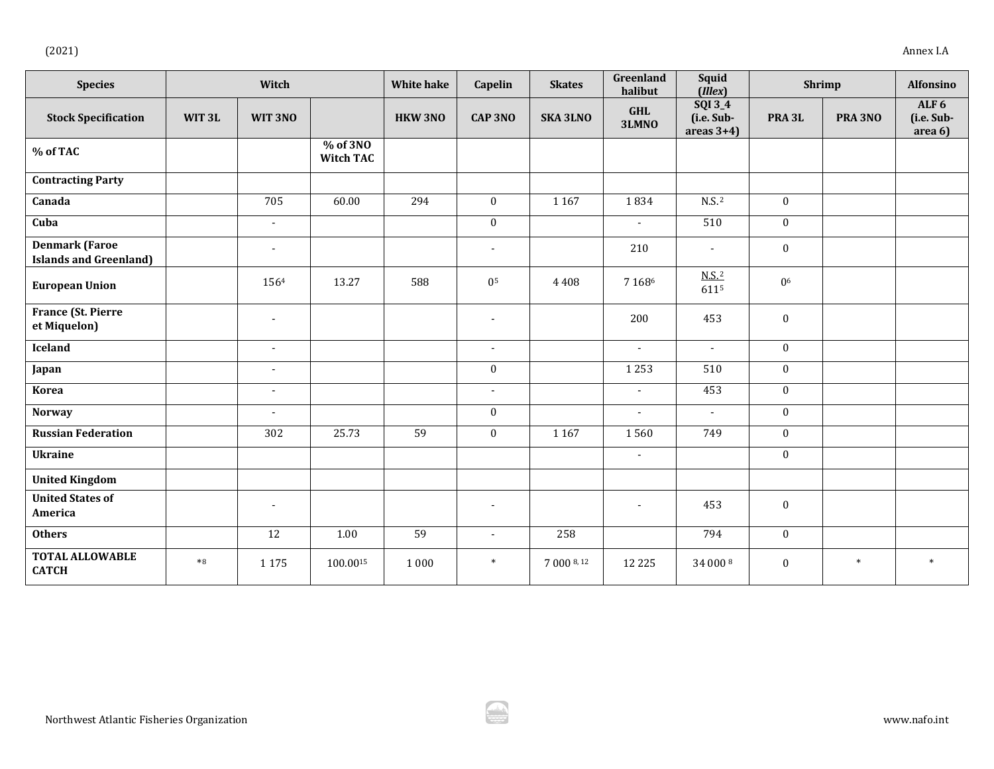|--|--|

| <b>Species</b>                                         | Witch             |                |                              | <b>White hake</b> | Capelin          | <b>Skates</b>   | Greenland<br><b>Squid</b><br>Shrimp<br>halibut<br>(Illex) |                                        |                   | <b>Alfonsino</b> |                                           |
|--------------------------------------------------------|-------------------|----------------|------------------------------|-------------------|------------------|-----------------|-----------------------------------------------------------|----------------------------------------|-------------------|------------------|-------------------------------------------|
| <b>Stock Specification</b>                             | WIT3L             | WIT 3NO        |                              | <b>HKW 3NO</b>    | <b>CAP 3NO</b>   | <b>SKA 3LNO</b> | <b>GHL</b><br>3LMNO                                       | SQI 3_4<br>(i.e. Sub-<br>areas $3+4$ ) | PRA <sub>3L</sub> | PRA 3NO          | ALF <sub>6</sub><br>(i.e. Sub-<br>area 6) |
| % of TAC                                               |                   |                | % of 3NO<br><b>Witch TAC</b> |                   |                  |                 |                                                           |                                        |                   |                  |                                           |
| <b>Contracting Party</b>                               |                   |                |                              |                   |                  |                 |                                                           |                                        |                   |                  |                                           |
| Canada                                                 |                   | 705            | 60.00                        | 294               | $\mathbf{0}$     | 1167            | 1834                                                      | $N.S.$ <sup>2</sup>                    | $\boldsymbol{0}$  |                  |                                           |
| Cuba                                                   |                   | $\blacksquare$ |                              |                   | $\boldsymbol{0}$ |                 | $\omega$                                                  | 510                                    | $\bf{0}$          |                  |                                           |
| <b>Denmark (Faroe</b><br><b>Islands and Greenland)</b> |                   | $\blacksquare$ |                              |                   | $\blacksquare$   |                 | 210                                                       | $\overline{\phantom{a}}$               | $\boldsymbol{0}$  |                  |                                           |
| <b>European Union</b>                                  |                   | 1564           | 13.27                        | 588               | 0 <sup>5</sup>   | 4408            | 7 1 6 8 6                                                 | $N.S.$ <sup>2</sup><br>6115            | 0 <sup>6</sup>    |                  |                                           |
| France (St. Pierre<br>et Miquelon)                     |                   | $\blacksquare$ |                              |                   | $\overline{a}$   |                 | 200                                                       | 453                                    | $\boldsymbol{0}$  |                  |                                           |
| Iceland                                                |                   | $\blacksquare$ |                              |                   | $\blacksquare$   |                 | $\blacksquare$                                            | $\sim$                                 | $\bf{0}$          |                  |                                           |
| Japan                                                  |                   | $\blacksquare$ |                              |                   | $\boldsymbol{0}$ |                 | 1253                                                      | 510                                    | $\boldsymbol{0}$  |                  |                                           |
| <b>Korea</b>                                           |                   | $\blacksquare$ |                              |                   | $\overline{a}$   |                 | $\blacksquare$                                            | 453                                    | $\bf{0}$          |                  |                                           |
| <b>Norway</b>                                          |                   | ÷,             |                              |                   | $\boldsymbol{0}$ |                 | $\blacksquare$                                            | $\sim$                                 | $\boldsymbol{0}$  |                  |                                           |
| <b>Russian Federation</b>                              |                   | 302            | 25.73                        | 59                | $\mathbf{0}$     | 1 1 6 7         | 1560                                                      | 749                                    | $\boldsymbol{0}$  |                  |                                           |
| <b>Ukraine</b>                                         |                   |                |                              |                   |                  |                 | $\omega$                                                  |                                        | $\boldsymbol{0}$  |                  |                                           |
| <b>United Kingdom</b>                                  |                   |                |                              |                   |                  |                 |                                                           |                                        |                   |                  |                                           |
| <b>United States of</b><br>America                     |                   | $\blacksquare$ |                              |                   | $\overline{a}$   |                 | $\blacksquare$                                            | 453                                    | $\boldsymbol{0}$  |                  |                                           |
| <b>Others</b>                                          |                   | 12             | 1.00                         | 59                | $\blacksquare$   | 258             |                                                           | 794                                    | $\boldsymbol{0}$  |                  |                                           |
| <b>TOTAL ALLOWABLE</b><br><b>CATCH</b>                 | $\boldsymbol{*}8$ | 1 1 7 5        | 100.0015                     | 1 0 0 0           | $\ast$           | 7 000 8, 12     | 12 2 2 5                                                  | 34 000 8                               | $\boldsymbol{0}$  | $\ast$           | $\ast$                                    |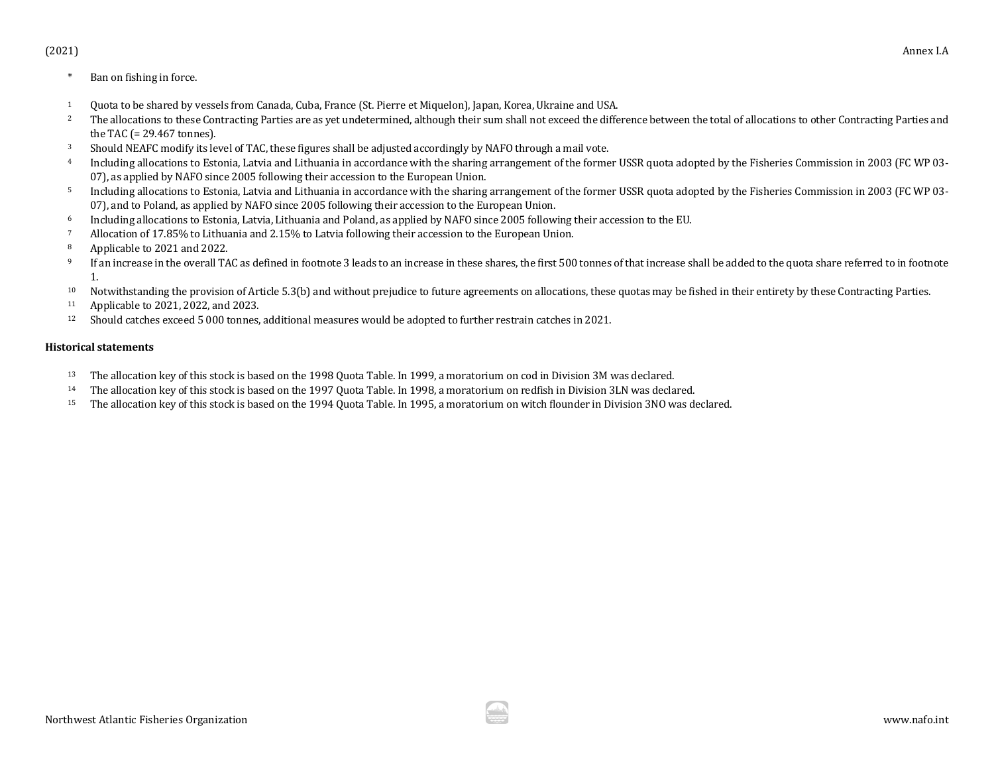- \* Ban on fishing in force.
- <sup>1</sup> Quota to be shared by vessels from Canada, Cuba, France (St. Pierre et Miquelon), Japan, Korea, Ukraine and USA.
- The allocations to these Contracting Parties are as yet undetermined, although their sum shall not exceed the difference between the total of allocations to other Contracting Parties and the TAC (= 29.467 tonnes).
- 3 Should NEAFC modify its level of TAC, these figures shall be adjusted accordingly by NAFO through a mail vote.<br>4 Including allocations to Estonia Latvia and Lithuania in accordance with the sharing arrangement of the for
- Including allocations to Estonia, Latvia and Lithuania in accordance with the sharing arrangement of the former USSR quota adopted by the Fisheries Commission in 2003 (FC WP 03-07), as applied by NAFO since 2005 following their accession to the European Union.
- <sup>5</sup> Including allocations to Estonia, Latvia and Lithuania in accordance with the sharing arrangement of the former USSR quota adopted by the Fisheries Commission in 2003 (FC WP 03- 07), and to Poland, as applied by NAFO since 2005 following their accession to the European Union.
- 6 Including allocations to Estonia, Latvia, Lithuania and Poland, as applied by NAFO since 2005 following their accession to the EU.<br><sup>7</sup> Allocation of 17.85% to Lithuania and 2.15% to Latvia following their accession to th
- <sup>7</sup> Allocation of 17.85% to Lithuania and 2.15% to Latvia following their accession to the European Union.<br><sup>8</sup> Applicable to 2021 and 2022
- <sup>8</sup> Applicable to 2021 and 2022.<br><sup>9</sup> If an increase in the overall  $T/4$
- If an increase in the overall TAC as defined in footnote 3 leads to an increase in these shares, the first 500 tonnes of that increase shall be added to the quota share referred to in footnote 1.
- 10 Notwithstanding the provision of Article 5.3(b) and without prejudice to future agreements on allocations, these quotas may be fished in their entirety by these Contracting Parties.<br>11 Applicable to 2021 2022 and 2023
- <sup>11</sup> Applicable to 2021, 2022, and 2023.<br><sup>12</sup> Should catches exceed 5,000 tonnes
- <sup>12</sup> Should catches exceed 5 000 tonnes, additional measures would be adopted to further restrain catches in 2021.

#### **Historical statements**

- 13 The allocation key of this stock is based on the 1998 Quota Table. In 1999, a moratorium on cod in Division 3M was declared.<br>14 The allocation key of this stock is based on the 1997 Quota Table. In 1998, a moratorium on
- 14 The allocation key of this stock is based on the 1997 Quota Table. In 1998, a moratorium on redfish in Division 3LN was declared.<br>15 The allocation key of this stock is based on the 1994 Quota Table. In 1995, a moratori
- <sup>15</sup> The allocation key of this stock is based on the 1994 Quota Table. In 1995, a moratorium on witch flounder in Division 3NO was declared.